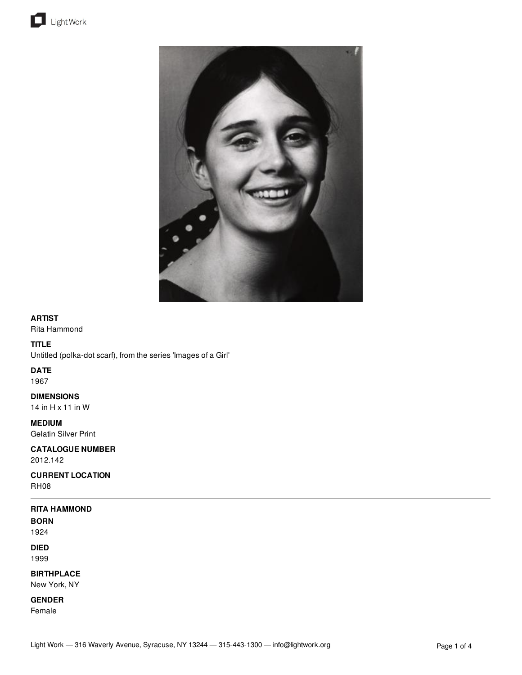



# **ARTIST**

Rita Hammond

# **TITLE**

Untitled (polka-dot scarf), from the series 'Images of a Girl'

#### **DATE**

1967

# **DIMENSIONS**

14 in H x 11 in W

# **MEDIUM**

Gelatin Silver Print

# **CATALOGUE NUMBER** 2012.142

**CURRENT LOCATION**

RH08

# **RITA HAMMOND**

**BORN**

1924 **DIED**

1999

**BIRTHPLACE**

New York, NY

**GENDER**

Female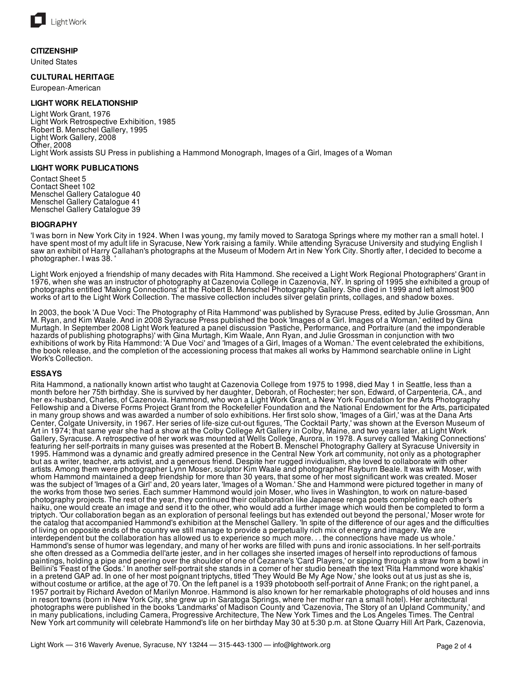

#### **CITIZENSHIP**

United States

#### **CULTURAL HERITAGE**

European-American

#### **LIGHT WORK RELATIONSHIP**

Light Work Grant, 1976 Light Work Retrospective Exhibition, 1985 Robert B. Menschel Gallery, 1995 Light Work Gallery, 2008 Other, 2008 Light Work assists SU Press in publishing a Hammond Monograph, Images of a Girl, Images of a Woman

#### **LIGHT WORK PUBLICATIONS**

Contact Sheet 5 Contact Sheet 102 Menschel Gallery Catalogue 40 Menschel Gallery Catalogue 41 Menschel Gallery Catalogue 39

#### **BIOGRAPHY**

'I was born in New York City in 1924. When I was young, my family moved to Saratoga Springs where my mother ran a small hotel. I have spent most of my adult life in Syracuse, New York raising a family. While attending Syracuse University and studying English I saw an exhibit of Harry Callahan's photographs at the Museum of Modern Art in New York City. Shortly after, I decided to become a photographer. I was 38. '

Light Work enjoyed a friendship of many decades with Rita Hammond. She received a Light Work Regional Photographers' Grant in 1976, when she was an instructor of photography at Cazenovia College in Cazenovia, NY. In spring of 1995 she exhibited a group of photographs entitled 'Making Connections' at the Robert B. Menschel Photography Gallery. She died in 1999 and left almost 900 works of art to the Light Work Collection. The massive collection includes silver gelatin prints, collages, and shadow boxes.

In 2003, the book 'A Due Voci: The Photography of Rita Hammond' was published by Syracuse Press, edited by Julie Grossman, Ann M. Ryan, and Kim Waale. And in 2008 Syracuse Press published the book 'Images of a Girl. Images of a Woman,' edited by Gina Murtagh. In September 2008 Light Work featured a panel discussion 'Pastiche, Performance, and Portraiture (and the imponderable hazards of publishing photographs)' with Gina Murtagh, Kim Waale, Ann Ryan, and Julie Grossman in conjunction with two exhibitions of work by Rita Hammond: 'A Due Voci' and 'Images of a Girl, Images of a Woman.' The event celebrated the exhibitions, the book release, and the completion of the accessioning process that makes all works by Hammond searchable online in Light Work's Collection.

#### **ESSAYS**

Rita Hammond, a nationally known artist who taught at Cazenovia College from 1975 to 1998, died May 1 in Seattle, less than a month before her 75th birthday. She is survived by her daughter, Deborah, of Rochester; her son, Edward, of Carpenteria, CA., and her ex-husband, Charles, of Cazenovia. Hammond, who won a Light Work Grant, a New York Foundation for the Arts Photography Fellowship and a Diverse Forms Project Grant from the Rockefeller Foundation and the National Endowment for the Arts, participated in many group shows and was awarded a number of solo exhibitions. Her first solo show, 'Images of a Girl,' was at the Dana Arts Center, Colgate University, in 1967. Her series of life-size cut-out figures, 'The Cocktail Party,' was shown at the Everson Museum of Art in 1974; that same year she had a show at the Colby College Art Gallery in Colby, Maine, and two years later, at Light Work Gallery, Syracuse. A retrospective of her work was mounted at Wells College, Aurora, in 1978. A survey called 'Making Connections' featuring her self-portraits in many guises was presented at the Robert B. Menschel Photography Gallery at Syracuse University in 1995. Hammond was a dynamic and greatly admired presence in the Central New York art community, not only as a photographer but as a writer, teacher, arts activist, and a generous friend. Despite her rugged invidualism, she loved to collaborate with other artists. Among them were photographer Lynn Moser, sculptor Kim Waale and photographer Rayburn Beale. It was with Moser, with whom Hammond maintained a deep friendship for more than 30 years, that some of her most significant work was created. Moser was the subject of 'Images of a Girl' and, 20 years later, 'Images of a Woman.' She and Hammond were pictured together in many of the works from those two series. Each summer Hammond would join Moser, who lives in Washington, to work on nature-based photography projects. The rest of the year, they continued their collaboration like Japanese renga poets completing each other's haiku, one would create an image and send it to the other, who would add a further image which would then be completed to form a triptych. 'Our collaboration began as an exploration of personal feelings but has extended out beyond the personal,' Moser wrote for the catalog that accompanied Hammond's exhibition at the Menschel Gallery. 'In spite of the difference of our ages and the difficulties of living on opposite ends of the country we still manage to provide a perpetually rich mix of energy and imagery. We are interdependent but the collaboration has allowed us to experience so much more. . . the connections have made us whole.' Hammond's sense of humor was legendary, and many of her works are filled with puns and ironic associations. In her self-portraits she often dressed as a Commedia dell'arte jester, and in her collages she inserted images of herself into reproductions of famous paintings, holding a pipe and peering over the shoulder of one of Cezanne's 'Card Players,' or sipping through a straw from a bowl in Bellini's 'Feast of the Gods.' In another self-portrait she stands in a corner of her studio beneath the text 'Rita Hammond wore khakis' in a pretend GAP ad. In one of her most poignant triptychs, titled 'They Would Be My Age Now,' she looks out at us just as she is, without costume or artifice, at the age of 70. On the left panel is a 1939 photobooth self-portrait of Anne Frank; on the right panel, a 1957 portrait by Richard Avedon of Marilyn Monroe. Hammond is also known for her remarkable photographs of old houses and inns in resort towns (born in New York City, she grew up in Saratoga Springs, where her mother ran a small hotel). Her architectural photographs were published in the books 'Landmarks' of Madison County and 'Cazenovia, The Story of an Upland Community,' and in many publications, including Camera, Progressive Architecture, The New York Times and the Los Angeles Times. The Central New York art community will celebrate Hammond's life on her birthday May 30 at 5:30 p.m. at Stone Quarry Hill Art Park, Cazenovia,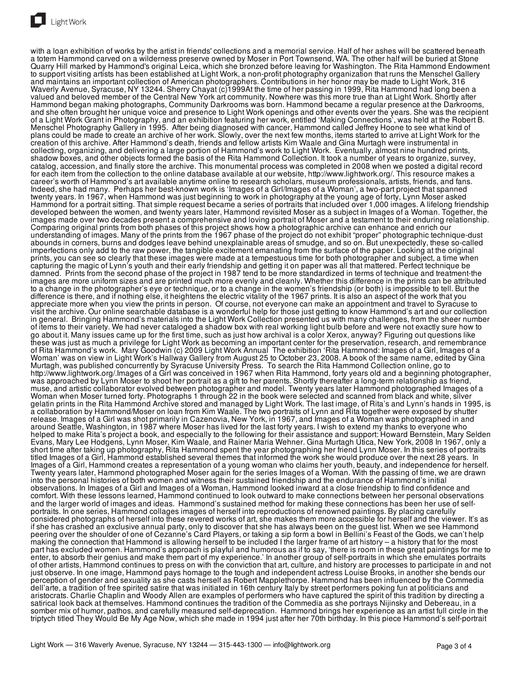

with a loan exhibition of works by the artist in friends' collections and a memorial service. Half of her ashes will be scattered beneath a totem Hammond carved on a wilderness preserve owned by Moser in Port Townsend, WA. The other half will be buried at Stone Quarry Hill marked by Hammond's original Leica, which she bronzed before leaving for Washington. The Rita Hammond Endowment to support visiting artists has been established at Light Work, a non-profit photography organization that runs the Menschel Gallery and maintains an important collection of American photographers. Contributions in her honor may be made to Light Work, 316 Waverly Avenue, Syracuse, NY 13244. Sherry Chayat (c)1999At the time of her passing in 1999, Rita Hammond had long been a valued and beloved member of the Central New York art community. Nowhere was this more true than at Light Work. Shortly after Hammond began making photographs, Community Darkrooms was born. Hammond became a regular presence at the Darkrooms, and she often brought her unique voice and presence to Light Work openings and other events over the years. She was the recipient of a Light Work Grant in Photography, and an exhibition featuring her work, entitled 'Making Connections', was held at the Robert B. Menschel Photography Gallery in 1995. After being diagnosed with cancer, Hammond called Jeffrey Hoone to see what kind of plans could be made to create an archive of her work. Slowly, over the next few months, items started to arrive at Light Work for the creation of this archive. After Hammond's death, friends and fellow artists Kim Waale and Gina Murtagh were instrumental in collecting, organizing, and delivering a large portion of Hammond's work to Light Work. Eventually, almost nine hundred prints, shadow boxes, and other objects formed the basis of the Rita Hammond Collection. It took a number of years to organize, survey, catalog, accession, and finally store the archive. This monumental process was completed in 2008 when we posted a digital record for each item from the collection to the online database available at our website, http://www.lightwork.org/. This resource makes a career's worth of Hammond's art available anytime online to research scholars, museum professionals, artists, friends, and fans. Indeed, she had many. Perhaps her best-known work is 'Images of a Girl/Images of a Woman', a two-part project that spanned twenty years. In 1967, when Hammond was just beginning to work in photography at the young age of forty, Lynn Moser asked Hammond for a portrait sitting. That simple request became a series of portraits that included over 1,000 images. A lifelong friendship developed between the women, and twenty years later, Hammond revisited Moser as a subject in Images of a Woman. Together, the images made over two decades present a comprehensive and loving portrait of Moser and a testament to their enduring relationship. Comparing original prints from both phases of this project shows how a photographic archive can enhance and enrich our understanding of images. Many of the prints from the 1967 phase of the project do not exhibit "proper" photographic technique-dust abounds in corners, burns and dodges leave behind unexplainable areas of smudge, and so on. But unexpectedly, these so-called imperfections only add to the raw power, the tangible excitement emanating from the surface of the paper. Looking at the original prints, you can see so clearly that these images were made at a tempestuous time for both photographer and subject, a time when capturing the magic of Lynn's youth and their early friendship and getting it on paper was all that mattered. Perfect technique be damned. Prints from the second phase of the project in 1987 tend to be more standardized in terms of technique and treatment-the images are more uniform sizes and are printed much more evenly and cleanly. Whether this difference in the prints can be attributed to a change in the photographer's eye or technique, or to a change in the women's friendship (or both) is impossible to tell. But the difference is there, and if nothing else, it heightens the electric vitality of the 1967 prints. It is also an aspect of the work that you appreciate more when you view the prints in person. Of course, not everyone can make an appointment and travel to Syracuse to visit the archive. Our online searchable database is a wonderful help for those just getting to know Hammond's art and our collection in general. Bringing Hammond's materials into the Light Work Collection presented us with many challenges, from the sheer number of items to their variety. We had never cataloged a shadow box with real working light bulb before and were not exactly sure how to go about it. Many issues came up for the first time, such as just how archival is a color Xerox, anyway? Figuring out questions like these was just as much a privilege for Light Work as becoming an important center for the preservation, research, and remembrance of Rita Hammond's work. Mary Goodwin (c) 2009 Light Work Annual The exhibition 'Rita Hammond: Images of a Girl, Images of a Woman' was on view in Light Work's Hallway Gallery from August 25 to October 23, 2008. A book of the same name, edited by Gina Murtagh, was published concurrently by Syracuse University Press. To search the Rita Hammond Collection online, go to http://www.lightwork.org/.Images of a Girl was conceived in 1967 when Rita Hammond, forty years old and a beginning photographer, was approached by Lynn Moser to shoot her portrait as a gift to her parents. Shortly thereafter a long-term relationship as friend, muse, and artistic collaborator evolved between photographer and model. Twenty years later Hammond photographed Images of a Woman when Moser turned forty. Photographs 1 through 22 in the book were selected and scanned from black and white, silver gelatin prints in the Rita Hammond Archive stored and managed by Light Work. The last image, of Rita's and Lynn's hands in 1995, is a collaboration by Hammond/Moser on loan from Kim Waale. The two portraits of Lynn and Rita together were exposed by shutter release. Images of a Girl was shot primarily in Cazenovia, New York, in 1967, and Images of a Woman was photographed in and around Seattle, Washington, in 1987 where Moser has lived for the last forty years. I wish to extend my thanks to everyone who helped to make Rita's project a book, and especially to the following for their assistance and support: Howard Bernstein, Mary Selden Evans, Mary Lee Hodgens, Lynn Moser, Kim Waale, and Rainer Maria Wehner. Gina Murtagh Utica, New York, 2008 In 1967, only a short time after taking up photography, Rita Hammond spent the year photographing her friend Lynn Moser. In this series of portraits titled Images of a Girl, Hammond established several themes that informed the work she would produce over the next 28 years. In Images of a Girl, Hammond creates a representation of a young woman who claims her youth, beauty, and independence for herself. Twenty years later, Hammond photographed Moser again for the series Images of a Woman. With the passing of time, we are drawn into the personal histories of both women and witness their sustained friendship and the endurance of Hammond's initial observations. In Images of a Girl and Images of a Woman, Hammond looked inward at a close friendship to find confidence and comfort. With these lessons learned, Hammond continued to look outward to make connections between her personal observations and the larger world of images and ideas. Hammond's sustained method for making these connections has been her use of selfportraits. In one series, Hammond collages images of herself into reproductions of renowned paintings. By placing carefully considered photographs of herself into these revered works of art, she makes them more accessible for herself and the viewer. It's as if she has crashed an exclusive annual party, only to discover that she has always been on the guest list. When we see Hammond peering over the shoulder of one of Cezanne's Card Players, or taking a sip form a bowl in Bellini's Feast of the Gods, we can't help making the connection that Hammond is allowing herself to be included I the larger frame of art history – a history that for the most part has excluded women. Hammond's approach is playful and humorous as if to say, 'there is room in these great paintings for me to enter, to absorb their genius and make them part of my experience.' In another group of self-portraits in which she emulates portraits of other artists, Hammond continues to press on with the conviction that art, culture, and history are processes to participate in and not just observe. In one image, Hammond pays homage to the tough and independent actress Louise Brooks, in another she bends our perception of gender and sexuality as she casts herself as Robert Mapplethorpe. Hammond has been influenced by the Commedia dell'arte, a tradition of free spirited satire that was initiated in 16th century Italy by street performers poking fun at politicians and aristocrats. Charlie Chaplin and Woody Allen are examples of performers who have captured the spirit of this tradition by directing a

satirical look back at themselves. Hammond continues the tradition of the Commedia as she portrays Nijinsky and Debereau, in a somber mix of humor, pathos, and carefully measured self-deprecation. Hammond brings her experience as an artist full circle in the triptych titled They Would Be My Age Now, which she made in 1994 just after her 70th birthday. In this piece Hammond's self-portrait